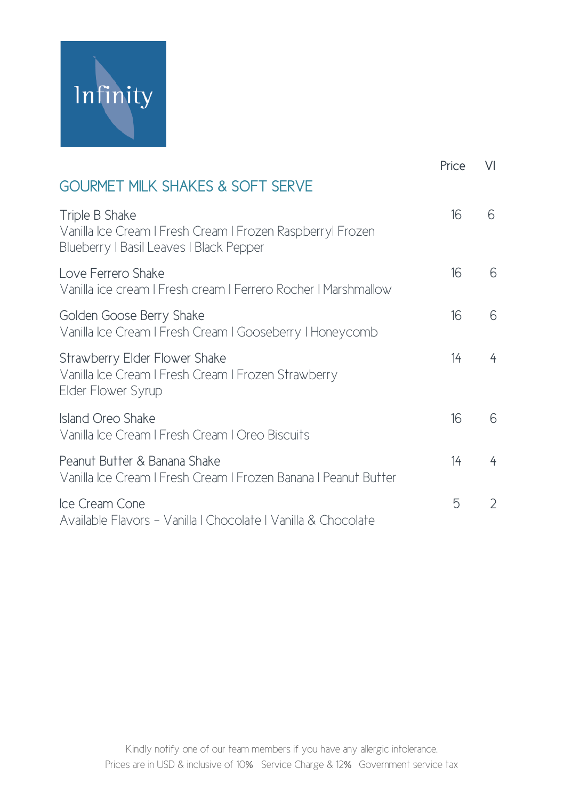

|                                                                                                                         | Price | VI             |
|-------------------------------------------------------------------------------------------------------------------------|-------|----------------|
| <b>GOURMET MILK SHAKES &amp; SOFT SERVE</b>                                                                             |       |                |
| Triple B Shake<br>Vanilla Ice Cream I Fresh Cream I Frozen Raspberryl Frozen<br>Blueberry   Basil Leaves   Black Pepper | 16    | 6              |
| Love Ferrero Shake<br>Vanilla ice cream I Fresh cream I Ferrero Rocher I Marshmallow                                    | 16    | 6              |
| Golden Goose Berry Shake<br>Vanilla Ice Cream I Fresh Cream I Gooseberry I Honeycomb                                    | 16    | 6              |
| Strawberry Elder Flower Shake<br>Vanilla Ice Cream I Fresh Cream I Frozen Strawberry<br>Elder Flower Syrup              | 14    | $\overline{4}$ |
| Island Oreo Shake<br>Vanilla Ice Cream I Fresh Cream I Oreo Biscuits                                                    | 16    | 6              |
| Peanut Butter & Banana Shake<br>Vanilla Ice Cream I Fresh Cream I Frozen Banana I Peanut Butter                         | 14    | 4              |
| Ice Cream Cone<br>Available Flavors - Vanilla I Chocolate I Vanilla & Chocolate                                         | 5     | 2              |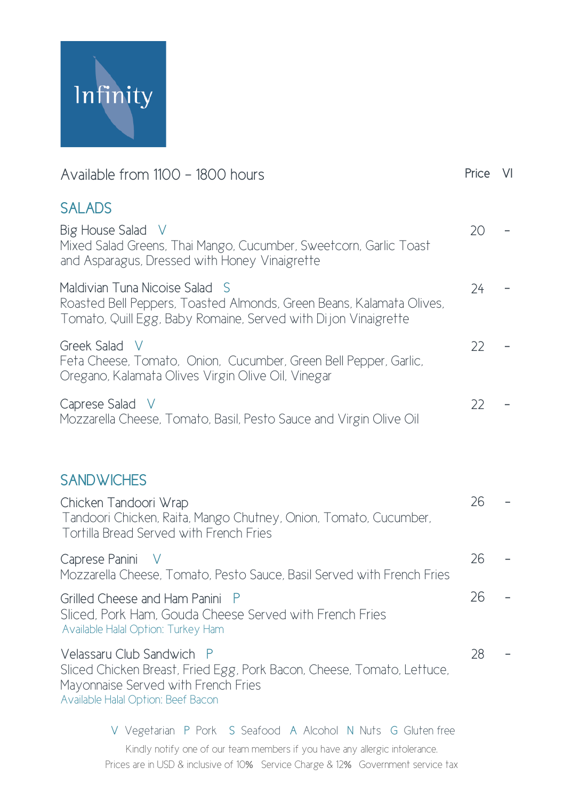

| Available from 1100 - 1800 hours                                                                                                                                                 | Price VI |  |
|----------------------------------------------------------------------------------------------------------------------------------------------------------------------------------|----------|--|
| <b>SALADS</b><br>Big House Salad<br>- V<br>Mixed Salad Greens, Thai Mango, Cucumber, Sweetcorn, Garlic Toast<br>and Asparagus, Dressed with Honey Vinaigrette                    | 20       |  |
| Maldivian Tuna Nicoise Salad<br>-S<br>Roasted Bell Peppers, Toasted Almonds, Green Beans, Kalamata Olives,<br>Tomato, Quill Egg, Baby Romaine, Served with Dijon Vinaigrette     | 24       |  |
| Greek Salad<br>- V<br>Feta Cheese, Tomato, Onion, Cucumber, Green Bell Pepper, Garlic,<br>Oregano, Kalamata Olives Virgin Olive Oil, Vinegar                                     | 22       |  |
| Caprese Salad<br>- V<br>Mozzarella Cheese, Tomato, Basil, Pesto Sauce and Virgin Olive Oil                                                                                       | 22       |  |
| <b>SANDWICHES</b>                                                                                                                                                                |          |  |
| Chicken Tandoori Wrap<br>Tandoori Chicken, Raita, Mango Chutney, Onion, Tomato, Cucumber,<br>Tortilla Bread Served with French Fries                                             | 26       |  |
| Caprese Panini<br>Mozzarella Cheese, Tomato, Pesto Sauce, Basil Served with French Fries                                                                                         | 26       |  |
| Grilled Cheese and Ham Panini P<br>Sliced, Pork Ham, Gouda Cheese Served with French Fries<br>Available Halal Option: Turkey Ham                                                 | 26       |  |
| Velassaru Club Sandwich P<br>Sliced Chicken Breast, Fried Egg, Pork Bacon, Cheese, Tomato, Lettuce,<br>Mayonnaise Served with French Fries<br>Available Halal Option: Beef Bacon | 28       |  |
|                                                                                                                                                                                  |          |  |

Kindly notify one of our team members if you have any allergic intolerance. Prices are in USD & inclusive of 10% Service Charge & 12% Government service tax V Vegetarian P Pork S Seafood A Alcohol N Nuts G Gluten free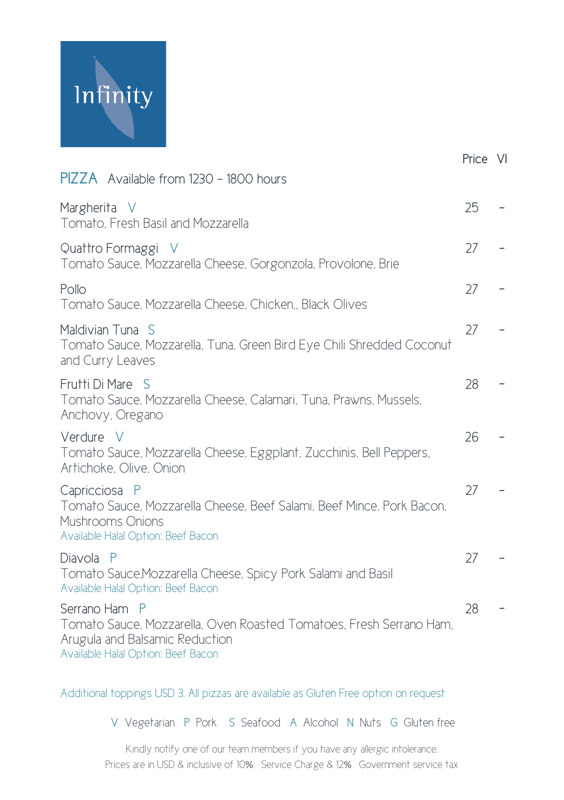

|                                                                                                                                                              | Price VI |  |
|--------------------------------------------------------------------------------------------------------------------------------------------------------------|----------|--|
| <b>PIZZA</b> Available from 1230 - 1800 hours                                                                                                                |          |  |
| Margherita V<br>Tomato, Fresh Basil and Mozzarella                                                                                                           | 25       |  |
| Quattro Formaggi V<br>Tomato Sauce, Mozzarella Cheese, Gorgonzola, Provolone, Brie                                                                           | 27       |  |
| Pollo<br>Tomato Sauce, Mozzarella Cheese, Chicken,, Black Olives                                                                                             | 27       |  |
| Maldivian Tuna S<br>Tomato Sauce, Mozzarella, Tuna, Green Bird Eye Chili Shredded Coconut<br>and Curry Leaves                                                | 27       |  |
| Frutti Di Mare S<br>Tomato Sauce, Mozzarella Cheese, Calamari, Tuna, Prawns, Mussels,<br>Anchovy, Oregano                                                    | 28       |  |
| Verdure V<br>Tomato Sauce, Mozzarella Cheese, Eggplant, Zucchinis, Bell Peppers,<br>Artichoke, Olive, Onion                                                  | 26       |  |
| Capricciosa P<br>Tomato Sauce, Mozzarella Cheese, Beef Salami, Beef Mince, Pork Bacon,<br>Mushrooms Onions<br>Available Halal Option: Beef Bacon             | 27       |  |
| Diavola<br>$\mathsf{P}$<br>Tomato Sauce, Mozzarella Cheese, Spicy Pork Salami and Basil<br>Available Halal Option: Beef Bacon                                | 27       |  |
| Serrano Ham P<br>Tomato Sauce, Mozzarella, Oven Roasted Tomatoes, Fresh Serrano Ham,<br>Arugula and Balsamic Reduction<br>Available Halal Option: Beef Bacon | 28       |  |

#### Additional toppings USD 3. All pizzas are available as Gluten Free option on request

V Vegetarian P Pork S Seafood A Alcohol N Nuts G Gluten free

Kindly notify one of our team members if you have any allergic intolerance. Prices are in USD & inclusive of 10% Service Charge & 12% Government service tax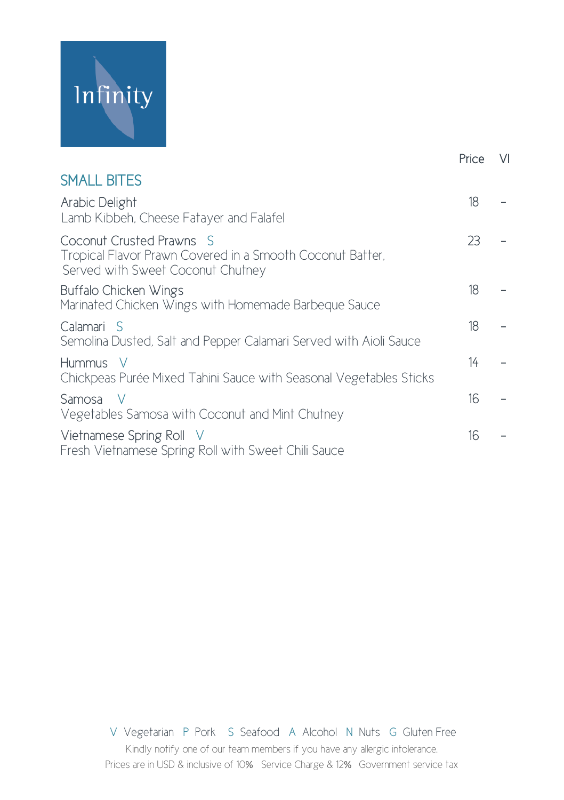

|                                                                                                                            | Price | $\vee$ |
|----------------------------------------------------------------------------------------------------------------------------|-------|--------|
| <b>SMALL BITES</b>                                                                                                         |       |        |
| Arabic Delight<br>Lamb Kibbeh, Cheese Fatayer and Falafel                                                                  | 18    |        |
| Coconut Crusted Prawns S<br>Tropical Flavor Prawn Covered in a Smooth Coconut Batter,<br>Served with Sweet Coconut Chutney | 23    |        |
| Buffalo Chicken Wings<br>Marinated Chicken Wings with Homemade Barbeque Sauce                                              | 18    |        |
| Calamari S<br>Semolina Dusted, Salt and Pepper Calamari Served with Aioli Sauce                                            | 18    |        |
| Hummus V<br>Chickpeas Purée Mixed Tahini Sauce with Seasonal Vegetables Sticks                                             | 14    |        |
| Samosa V<br>Vegetables Samosa with Coconut and Mint Chutney                                                                | 16    |        |
| Vietnamese Spring Roll V<br>Fresh Vietnamese Spring Roll with Sweet Chili Sauce                                            | 16    |        |
|                                                                                                                            |       |        |

Kindly notify one of our team members if you have any allergic intolerance. Prices are in USD & inclusive of 10% Service Charge & 12% Government service tax V Vegetarian P Pork S Seafood A Alcohol N Nuts G Gluten Free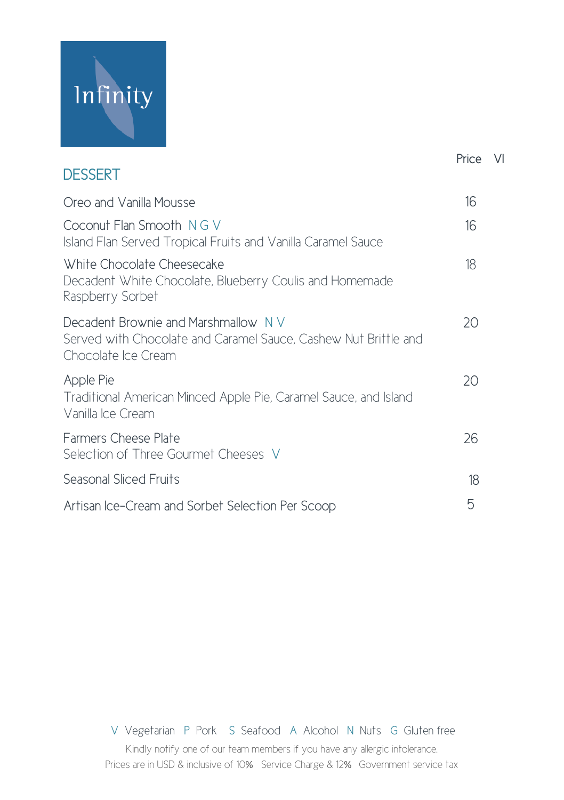

|                                                                                                                                | Price | - VI |
|--------------------------------------------------------------------------------------------------------------------------------|-------|------|
| <b>DESSERT</b>                                                                                                                 |       |      |
| Oreo and Vanilla Mousse                                                                                                        | 16    |      |
| Coconut Flan Smooth NGV<br>Island Flan Served Tropical Fruits and Vanilla Caramel Sauce                                        | 16    |      |
| White Chocolate Cheesecake<br>Decadent White Chocolate, Blueberry Coulis and Homemade<br>Raspberry Sorbet                      | 18    |      |
| Decadent Brownie and Marshmallow N V<br>Served with Chocolate and Caramel Sauce, Cashew Nut Brittle and<br>Chocolate Ice Cream | 20    |      |
| Apple Pie<br>Traditional American Minced Apple Pie, Caramel Sauce, and Island<br>Vanilla Ice Cream                             | 20    |      |
| Farmers Cheese Plate<br>Selection of Three Gourmet Cheeses V                                                                   | 26    |      |
| Seasonal Sliced Fruits                                                                                                         | 18    |      |
| Artisan Ice-Cream and Sorbet Selection Per Scoop                                                                               | 5     |      |

Kindly notify one of our team members if you have any allergic intolerance. Prices are in USD & inclusive of 10% Service Charge & 12% Government service tax V Vegetarian P Pork S Seafood A Alcohol N Nuts G Gluten free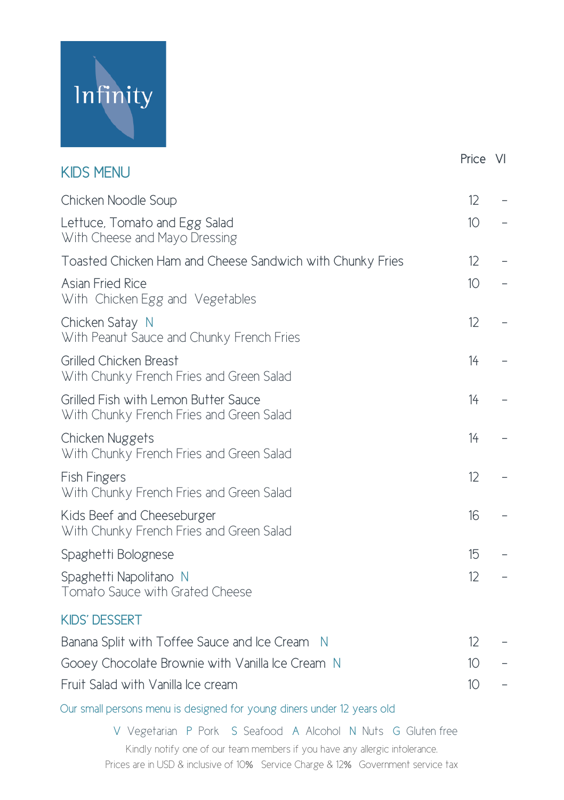

|                                                                                  | Price VI          |  |
|----------------------------------------------------------------------------------|-------------------|--|
| <b>KIDS MENU</b>                                                                 |                   |  |
| Chicken Noodle Soup                                                              | 12                |  |
| Lettuce, Tomato and Egg Salad<br>With Cheese and Mayo Dressing                   | 10                |  |
| Toasted Chicken Ham and Cheese Sandwich with Chunky Fries                        | $12 \overline{ }$ |  |
| Asian Fried Rice<br>With Chicken Egg and Vegetables                              | 10 <sup>°</sup>   |  |
| Chicken Satay N<br>With Peanut Sauce and Chunky French Fries                     | 12                |  |
| Grilled Chicken Breast<br>With Chunky French Fries and Green Salad               | 14                |  |
| Grilled Fish with Lemon Butter Sauce<br>With Chunky French Fries and Green Salad | 14                |  |
| Chicken Nuggets<br>With Chunky French Fries and Green Salad                      | 14                |  |
| <b>Fish Fingers</b><br>With Chunky French Fries and Green Salad                  | 12                |  |
| Kids Beef and Cheeseburger<br>With Chunky French Fries and Green Salad           | 16                |  |
| Spaghetti Bolognese                                                              | 15                |  |
| Spaghetti Napolitano N<br>Tomato Sauce with Grated Cheese                        | 12                |  |
| <b>KIDS' DESSERT</b>                                                             |                   |  |
| Banana Split with Toffee Sauce and Ice Cream N                                   | 12                |  |

Gooey Chocolate Brownie with Vanilla Ice Cream N 10 Fruit Salad with Vanilla Ice cream 10 -

Our small persons menu is designed for young diners under 12 years old

Kindly notify one of our team members if you have any allergic intolerance. Prices are in USD & inclusive of 10% Service Charge & 12% Government service tax V Vegetarian P Pork S Seafood A Alcohol N Nuts G Gluten free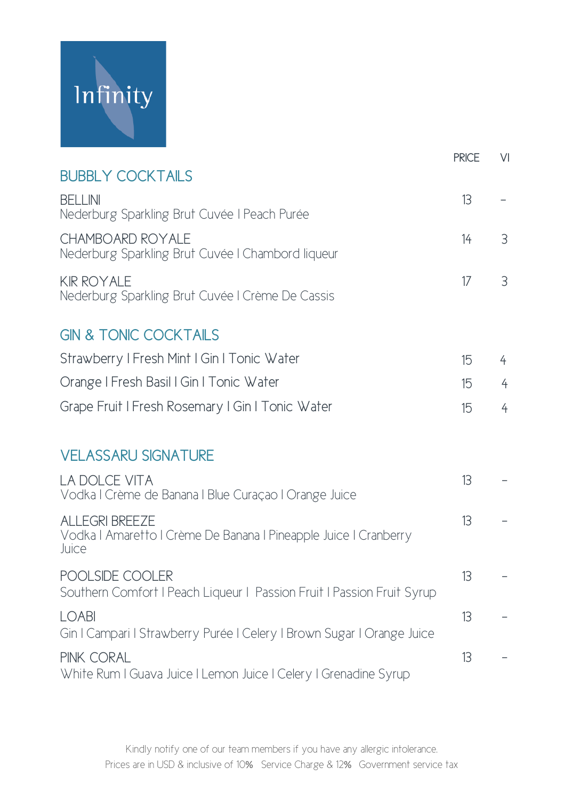

|                                                                                                    | <b>PRICE</b> | VI             |
|----------------------------------------------------------------------------------------------------|--------------|----------------|
| <b>BUBBLY COCKTAILS</b>                                                                            |              |                |
| <b>BFI I INI</b><br>Nederburg Sparkling Brut Cuvée   Peach Purée                                   | 13           |                |
| CHAMBOARD ROYALE<br>Nederburg Sparkling Brut Cuvée   Chambord liqueur                              | 14           | 3              |
| <b>KIR ROYALE</b><br>Nederburg Sparkling Brut Cuvée   Crème De Cassis                              | 17           | 3              |
| <b>GIN &amp; TONIC COCKTAILS</b>                                                                   |              |                |
| Strawberry I Fresh Mint I Gin I Tonic Water                                                        | 15           | $\overline{4}$ |
| Orange I Fresh Basil I Gin I Tonic Water                                                           | 15           | $\overline{4}$ |
| Grape Fruit I Fresh Rosemary I Gin I Tonic Water                                                   | 15           | $\overline{4}$ |
| <b>VELASSARU SIGNATURE</b>                                                                         |              |                |
| <b>LA DOLCE VITA</b><br>Vodka I Crème de Banana I Blue Curaçao I Orange Juice                      | 13           |                |
| <b>ALLEGRI BREEZE</b><br>Vodka I Amaretto I Crème De Banana I Pineapple Juice I Cranberry<br>Juice | 13           |                |
| POOLSIDE COOLER<br>Southern Comfort I Peach Liqueur   Passion Fruit   Passion Fruit Syrup          | 13           |                |
| <b>LOABI</b><br>Gin I Campari I Strawberry Purée I Celery I Brown Sugar I Orange Juice             | 13           |                |
| PINK CORAI<br>White Rum I Guava Juice I Lemon Juice I Celery I Grenadine Syrup                     | 13           |                |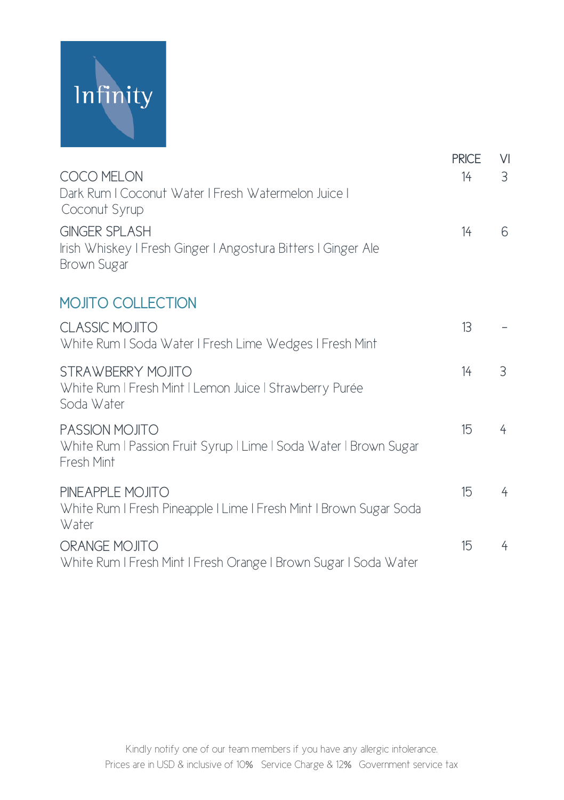

|                                                                                                      | <b>PRICE</b> | $\vee$         |
|------------------------------------------------------------------------------------------------------|--------------|----------------|
| COCO MELON<br>Dark Rum I Coconut Water I Fresh Watermelon Juice I<br>Coconut Syrup                   | 14           | 3              |
| <b>GINGER SPLASH</b><br>Irish Whiskey I Fresh Ginger I Angostura Bitters I Ginger Ale<br>Brown Sugar | 14           | 6              |
| <b>MOJITO COLLECTION</b>                                                                             |              |                |
| <b>CLASSIC MOJITO</b><br>White Rum I Soda Water I Fresh Lime Wedges I Fresh Mint                     | 13           |                |
| <b>STRAWBERRY MOJITO</b><br>White Rum   Fresh Mint   Lemon Juice   Strawberry Purée<br>Soda Water    | 14           | 3              |
| PASSION MOJITO<br>White Rum   Passion Fruit Syrup   Lime   Soda Water   Brown Sugar<br>Fresh Mint    | 15           | 4              |
| PINEAPPLE MOJITO<br>White Rum I Fresh Pineapple I Lime I Fresh Mint I Brown Sugar Soda<br>Water      | 15           | $\overline{4}$ |
| ORANGE MOJITO<br>White Rum I Fresh Mint I Fresh Orange I Brown Sugar I Soda Water                    | 15           | 4              |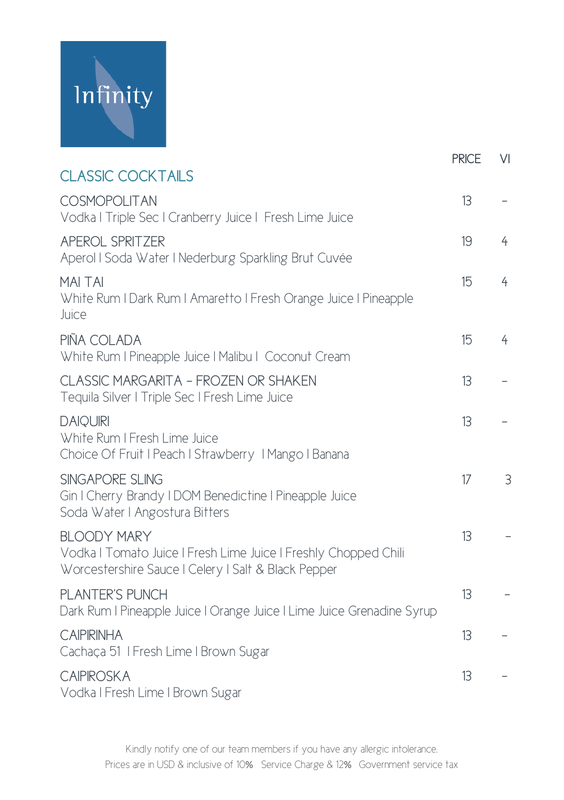

|                                                                                                                                              | <b>PRICE</b> | V <sub>1</sub> |
|----------------------------------------------------------------------------------------------------------------------------------------------|--------------|----------------|
| <b>CLASSIC COCKTAILS</b>                                                                                                                     |              |                |
| COSMOPOLITAN<br>Vodka I Triple Sec I Cranberry Juice I Fresh Lime Juice                                                                      | 13           |                |
| <b>APEROL SPRITZER</b><br>Aperol I Soda Water I Nederburg Sparkling Brut Cuvée                                                               | 19           | 4              |
| <b>MAI TAI</b><br>White Rum I Dark Rum I Amaretto I Fresh Orange Juice I Pineapple<br>Juice                                                  | 15           | $\overline{4}$ |
| PIÑA COLADA<br>White Rum I Pineapple Juice   Malibu   Coconut Cream                                                                          | 15           | 4              |
| CLASSIC MARGARITA - FROZEN OR SHAKEN<br>Tequila Silver   Triple Sec   Fresh Lime Juice                                                       | 13           |                |
| <b>DAIQUIRI</b><br>White Rum I Fresh Lime Juice<br>Choice Of Fruit I Peach I Strawberry I Mango I Banana                                     | 13           |                |
| SINGAPORE SLING<br>Gin I Cherry Brandy I DOM Benedictine I Pineapple Juice<br>Soda Water I Angostura Bitters                                 | 17           | $\overline{3}$ |
| <b>BLOODY MARY</b><br>Vodka I Tomato Juice I Fresh Lime Juice I Freshly Chopped Chili<br>Worcestershire Sauce   Celery   Salt & Black Pepper | 13           |                |
| PLANTER'S PUNCH<br>Dark Rum I Pineapple Juice I Orange Juice I Lime Juice Grenadine Syrup                                                    | 13           |                |
| <b>CAIPIRINHA</b><br>Cachaça 51   Fresh Lime   Brown Sugar                                                                                   | 13           |                |
| <b>CAIPIROSKA</b><br>Vodka I Fresh Lime I Brown Sugar                                                                                        | 13           |                |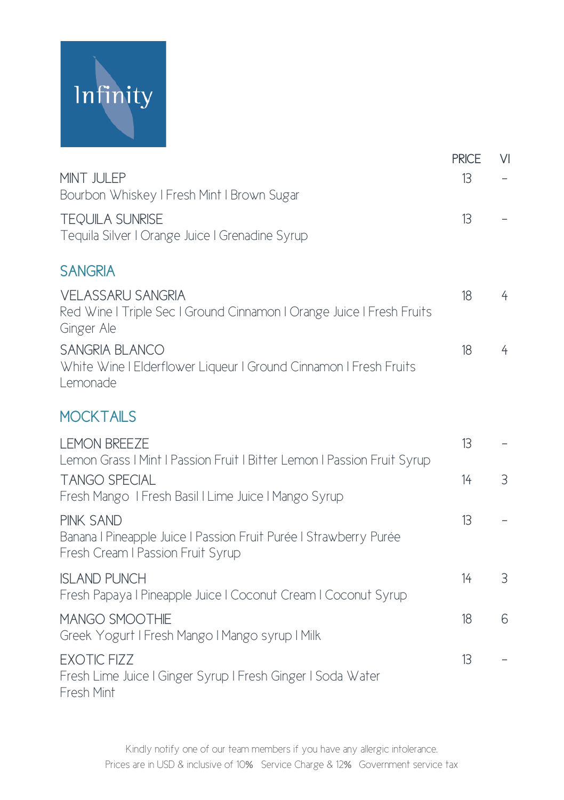

|                                                                                                                            | <b>PRICE</b> | $\vee$         |
|----------------------------------------------------------------------------------------------------------------------------|--------------|----------------|
| MINT JULEP                                                                                                                 | 13           |                |
| Bourbon Whiskey   Fresh Mint   Brown Sugar                                                                                 |              |                |
| <b>TEQUILA SUNRISE</b><br>Tequila Silver I Orange Juice I Grenadine Syrup                                                  | 13           |                |
| <b>SANGRIA</b>                                                                                                             |              |                |
| <b>VELASSARU SANGRIA</b><br>Red Wine I Triple Sec I Ground Cinnamon I Orange Juice I Fresh Fruits<br>Ginger Ale            | 18           | $\overline{4}$ |
| <b>SANGRIA BLANCO</b><br>White Wine I Elderflower Liqueur I Ground Cinnamon I Fresh Fruits<br>Lemonade                     | 18           | $\overline{4}$ |
| <b>MOCKTAILS</b>                                                                                                           |              |                |
| <b>I FMON BRFF7F</b><br>Lemon Grass   Mint   Passion Fruit   Bitter Lemon   Passion Fruit Syrup                            | 13           |                |
| <b>TANGO SPECIAL</b><br>Fresh Mango I Fresh Basil I Lime Juice I Mango Syrup                                               | 14           | 3              |
| <b>PINK SAND</b><br>Banana I Pineapple Juice I Passion Fruit Purée I Strawberry Purée<br>Fresh Cream I Passion Fruit Syrup | 13           |                |
| <b>ISLAND PUNCH</b><br>Fresh Papaya   Pineapple Juice   Coconut Cream   Coconut Syrup                                      | 14           | 3              |
| MANGO SMOOTHIE<br>Greek Yogurt I Fresh Mango I Mango syrup I Milk                                                          | 18           | 6              |
| <b>EXOTIC FIZZ</b><br>Fresh Lime Juice I Ginger Syrup I Fresh Ginger I Soda Water<br>Fresh Mint                            | 13           |                |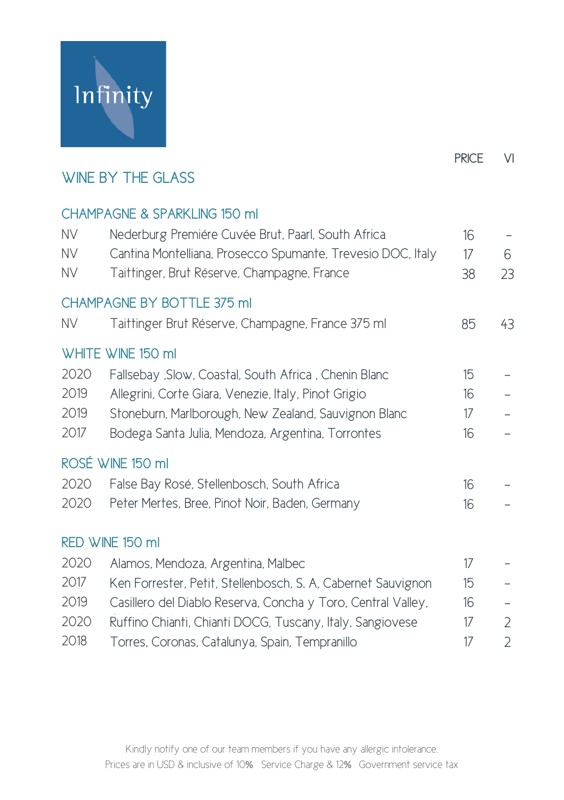

## WINE BY THE GLASS

#### CHAMPAGNE & SPARKLING 150 ml

| <b>NV</b>    | Nederburg Premiére Cuvée Brut, Paarl, South Africa           | 16               |    |
|--------------|--------------------------------------------------------------|------------------|----|
| <b>NV</b>    | Cantina Montelliana, Prosecco Spumante, Trevesio DOC, Italy  | 17               | 6  |
| <b>NV</b>    | Taittinger, Brut Réserve, Champagne, France                  | 38               | 23 |
|              | CHAMPAGNE BY BOTTLE 375 ml                                   |                  |    |
| <b>NV</b>    | Taittinger Brut Réserve, Champagne, France 375 ml            | 85               | 43 |
|              | WHITE WINE 150 ml                                            |                  |    |
| 2020         | Fallsebay , Slow, Coastal, South Africa, Chenin Blanc        | 15               |    |
| 2019         | Allegrini, Corte Giara, Venezie, Italy, Pinot Grigio         | 16               |    |
| 2019         | Stoneburn, Marlborough, New Zealand, Sauvignon Blanc         | 17               |    |
| 2017         | Bodega Santa Julia, Mendoza, Argentina, Torrontes            | 16               |    |
|              | ROSÉ WINE 150 ml                                             |                  |    |
| 2020         | False Bay Rosé, Stellenbosch, South Africa                   | 16               |    |
| 2020         | Peter Mertes, Bree, Pinot Noir, Baden, Germany               | 16               |    |
|              | RED WINE 150 ml                                              |                  |    |
| 2020         | Alamos, Mendoza, Argentina, Malbec                           | 17               |    |
| 2017         | Ken Forrester, Petit, Stellenbosch, S. A, Cabernet Sauvignon | $15\overline{)}$ |    |
| 2019         | Casillero del Diablo Reserva, Concha y Toro, Central Valley, | 16               |    |
| 2020         | Ruffino Chianti, Chianti DOCG, Tuscany, Italy, Sangiovese    | 17               | 2  |
| $\bigcap$ 10 |                                                              | $4 -$            |    |

2018 Torres, Coronas, Catalunya, Spain, Tempranillo 17 2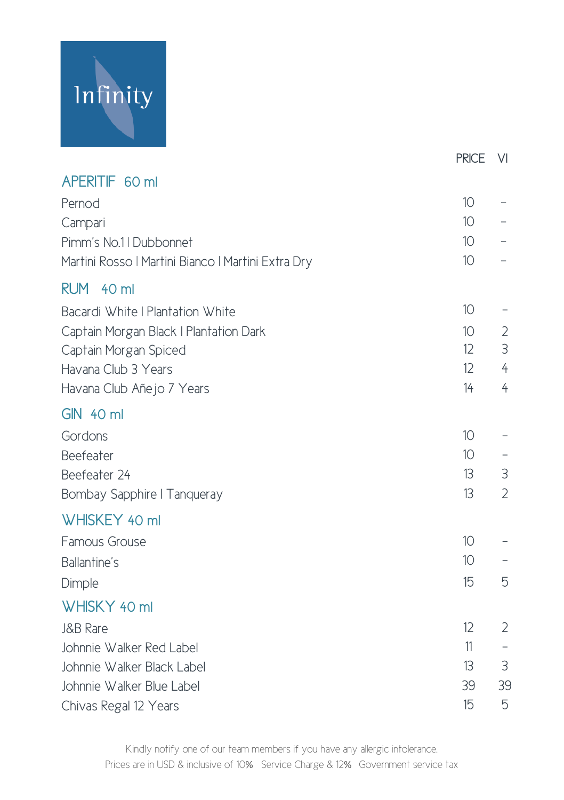# Infinity

|                                                    | <b>PRICE</b>    | VI                       |
|----------------------------------------------------|-----------------|--------------------------|
| APERITIF 60 ml                                     |                 |                          |
| Pernod                                             | 10 <sup>°</sup> |                          |
| Campari                                            | 10 <sup>°</sup> |                          |
| Pimm's No.1   Dubbonnet                            | 10 <sup>°</sup> |                          |
| Martini Rosso   Martini Bianco   Martini Extra Dry | 10              |                          |
| RUM 40 ml                                          |                 |                          |
| Bacardi White I Plantation White                   | 10 <sup>°</sup> |                          |
| Captain Morgan Black   Plantation Dark             | 10 <sup>°</sup> | $\overline{2}$           |
| Captain Morgan Spiced                              | 12              | 3                        |
| Havana Club 3 Years                                | 12              | $\overline{4}$           |
| Havana Club Añejo 7 Years                          | 14              | $\overline{4}$           |
| <b>GIN 40 ml</b>                                   |                 |                          |
| Gordons                                            | 10              | $\overline{\phantom{0}}$ |
| Beefeater                                          | 10              |                          |
| Beefeater 24                                       | 13              | 3                        |
| Bombay Sapphire   Tanqueray                        | 13              | $\overline{2}$           |
| WHISKEY 40 ml                                      |                 |                          |
| Famous Grouse                                      | 10              |                          |
| Ballantine's                                       | 10              |                          |
| Dimple                                             | 15              | 5                        |
| WHISKY 40 ml                                       |                 |                          |
| J&B Rare                                           | 12              | $\overline{2}$           |
| Johnnie Walker Red Label                           | 11              |                          |
| Johnnie Walker Black Label                         | 13              | 3                        |
| Johnnie Walker Blue Label                          | 39              | 39                       |
| Chivas Regal 12 Years                              | 15              | 5                        |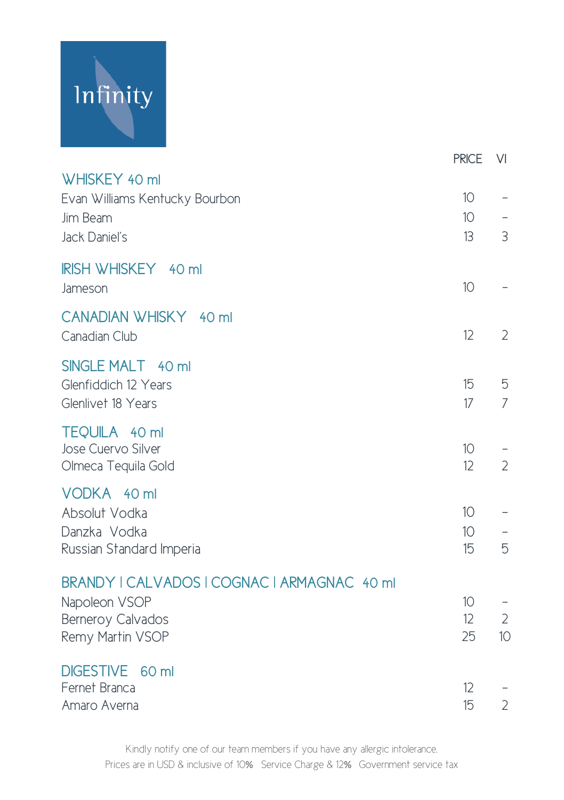

|                                                                                                       | <b>PRICE</b>                | VI                  |
|-------------------------------------------------------------------------------------------------------|-----------------------------|---------------------|
| WHISKEY 40 ml<br>Evan Williams Kentucky Bourbon<br>Jim Beam<br>Jack Daniel's                          | 10<br>10 <sup>°</sup><br>13 | 3                   |
| IRISH WHISKEY 40 ml<br>Jameson                                                                        | 10                          |                     |
| CANADIAN WHISKY 40 ml<br>Canadian Club                                                                | 12                          | $\overline{2}$      |
| SINGLE MALT 40 ml<br>Glenfiddich 12 Years<br>Glenlivet 18 Years                                       | 15<br>17                    | 5<br>$\overline{7}$ |
| <b>TEQUILA</b> 40 ml<br>Jose Cuervo Silver<br>Olmeca Tequila Gold                                     | 10<br>12                    | $\overline{2}$      |
| VODKA 40 ml<br>Absolut Vodka<br>Danzka Vodka<br>Russian Standard Imperia                              | 10 <sup>°</sup><br>10<br>15 | 5                   |
| BRANDY   CALVADOS   COGNAC   ARMAGNAC 40 ml<br>Napoleon VSOP<br>Berneroy Calvados<br>Remy Martin VSOP | 10<br>12<br>25              | $\mathbf{2}$<br>10  |
| <b>DIGESTIVE</b><br>60 ml<br>Fernet Branca<br>Amaro Averna                                            | 12<br>15                    | $\overline{2}$      |

Kindly notify one of our team members if you have any allergic intolerance. Prices are in USD & inclusive of 10% Service Charge & 12% Government service tax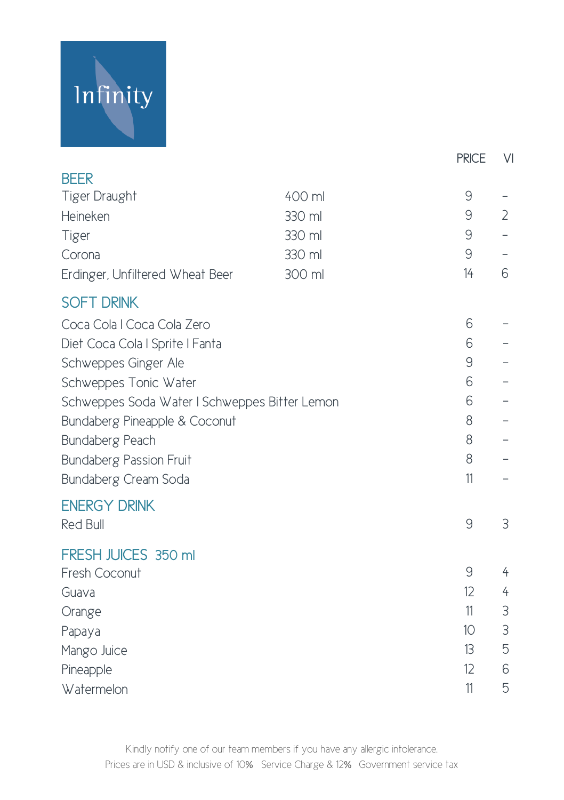# Infinity

|                                               |        |  | <b>PRICE</b> | $\vee$         |
|-----------------------------------------------|--------|--|--------------|----------------|
| <b>BEER</b>                                   |        |  |              |                |
| Tiger Draught                                 | 400 ml |  | $\mathsf{S}$ |                |
| Heineken                                      | 330 ml |  | $\mathsf{S}$ | $\overline{2}$ |
| Tiger                                         | 330 ml |  | 9            |                |
| Corona                                        | 330 ml |  | 9            |                |
| Erdinger, Unfiltered Wheat Beer               | 300 ml |  | 14           | 6              |
| <b>SOFT DRINK</b>                             |        |  |              |                |
| Coca Cola I Coca Cola Zero                    |        |  | 6            |                |
| Diet Coca Cola I Sprite I Fanta               |        |  | 6            |                |
| Schweppes Ginger Ale                          |        |  | $\mathsf{S}$ |                |
| Schweppes Tonic Water                         |        |  | 6            |                |
| Schweppes Soda Water I Schweppes Bitter Lemon |        |  | 6            |                |
| Bundaberg Pineapple & Coconut                 |        |  | 8            |                |
| Bundaberg Peach                               |        |  | 8            |                |
| <b>Bundaberg Passion Fruit</b>                |        |  | 8            |                |
| Bundaberg Cream Soda                          |        |  | 11           |                |
| <b>ENERGY DRINK</b>                           |        |  |              |                |
| <b>Red Bull</b>                               |        |  | $\mathsf{S}$ | 3              |
| FRESH JUICES 350 ml                           |        |  |              |                |
| Fresh Coconut                                 |        |  | 9            | 4              |
| Guava                                         |        |  | 12           | 4              |
| Orange                                        |        |  | 11           | 3              |
| Papaya                                        |        |  | 10           | $\mathfrak{Z}$ |
| Mango Juice                                   |        |  | 13           | 5              |
| Pineapple                                     |        |  | 12           | 6              |
| Watermelon                                    |        |  | 11           | 5              |

Kindly notify one of our team members if you have any allergic intolerance. Prices are in USD & inclusive of 10% Service Charge & 12% Government service tax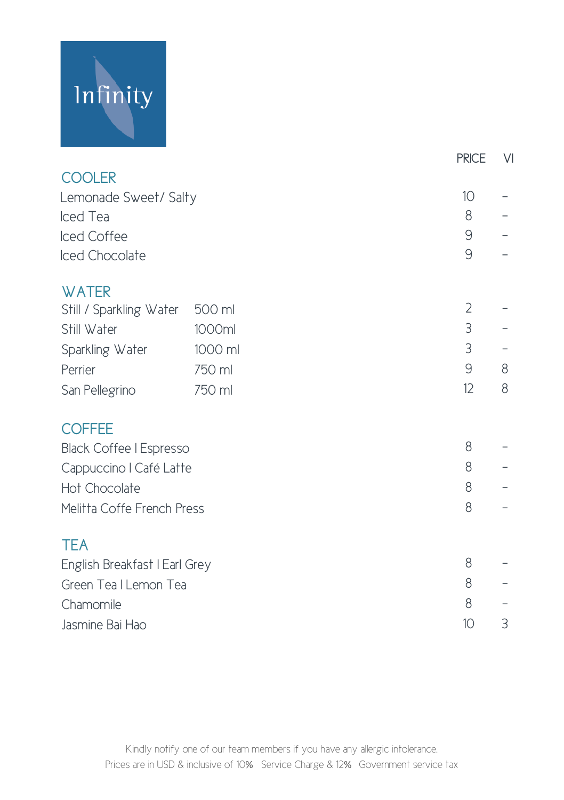# Infinity

|                                |         | <b>PRICE</b>   | $\vee$ |
|--------------------------------|---------|----------------|--------|
| <b>COOLER</b>                  |         |                |        |
| Lemonade Sweet/ Salty          |         |                |        |
| Iced Tea                       |         | 8              |        |
| Iced Coffee                    |         | 9              |        |
| Iced Chocolate                 |         | 9              |        |
| <b>WATER</b>                   |         |                |        |
| Still / Sparkling Water        | 500 ml  | $\overline{2}$ |        |
| Still Water                    | 1000ml  | 3              |        |
| Sparkling Water                | 1000 ml | 3              |        |
| Perrier                        | 750 ml  | 9              | 8      |
| San Pellegrino                 | 750 ml  | 12             | 8      |
| <b>COFFEE</b>                  |         |                |        |
| <b>Black Coffee I Espresso</b> |         |                |        |
| Cappuccino I Café Latte        |         |                |        |
| Hot Chocolate                  |         |                |        |
| Melitta Coffe French Press     |         | 8              |        |
| <b>TEA</b>                     |         |                |        |
| English Breakfast   Earl Grey  |         |                |        |
| Green Tea I Lemon Tea          |         |                |        |
| Chamomile                      |         | 8              |        |
| Jasmine Bai Hao                |         |                | 3      |
|                                |         |                |        |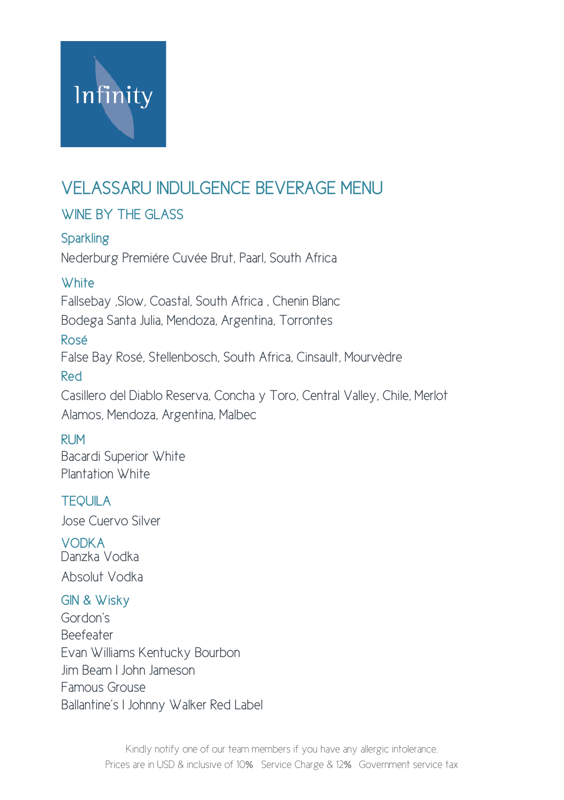

## VELASSARU INDULGENCE BEVERAGE MENU

#### WINE BY THE GLASS

**Sparkling** Nederburg Premiére Cuvée Brut, Paarl, South Africa

#### **White**

Fallsebay ,Slow, Coastal, South Africa , Chenin Blanc Bodega Santa Julia, Mendoza, Argentina, Torrontes

#### Rosé

False Bay Rosé, Stellenbosch, South Africa, Cinsault, Mourvèdre

#### Red

Casillero del Diablo Reserva, Concha y Toro, Central Valley, Chile, Merlot Alamos, Mendoza, Argentina, Malbec

#### RUM

Bacardi Superior White Plantation White

#### **TFOLILA**

Jose Cuervo Silver

VODKA Danzka Vodka Absolut Vodka

#### GIN & Wisky

Gordon's Beefeater Evan Williams Kentucky Bourbon Jim Beam I John Jameson Famous Grouse Ballantine's I Johnny Walker Red Label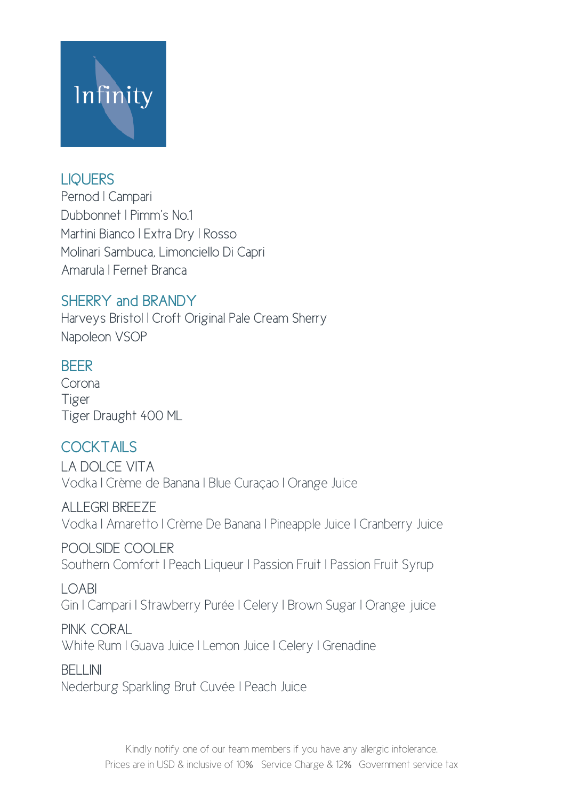

#### LIQUERS

Pernod | Campari Dubbonnet | Pimm's No.1 Martini Bianco | Extra Dry | Rosso Molinari Sambuca, Limonciello Di Capri Amarula | Fernet Branca

#### SHERRY and BRANDY

Harveys Bristol | Croft Original Pale Cream Sherry Napoleon VSOP

#### **BEER**

Corona Tiger Tiger Draught 400 ML

### COCKTAILS

LA DOLCE VITA Vodka I Crème de Banana I Blue Curaçao I Orange Juice

ALLEGRI BREEZE Vodka I Amaretto I Crème De Banana I Pineapple Juice I Cranberry Juice

POOLSIDE COOLER Southern Comfort I Peach Liqueur I Passion Fruit I Passion Fruit Syrup

LOABI Gin I Campari I Strawberry Purée I Celery I Brown Sugar I Orange juice

PINK CORAL White Rum I Guava Juice I Lemon Juice I Celery I Grenadine

BELLINI Nederburg Sparkling Brut Cuvée I Peach Juice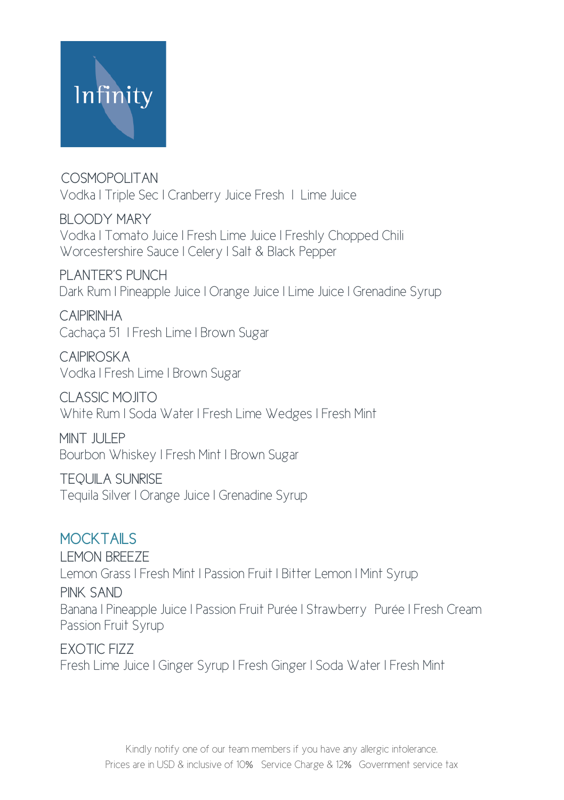

COSMOPOLITAN Vodka I Triple Sec I Cranberry Juice Fresh I Lime Juice

BLOODY MARY Vodka I Tomato Juice I Fresh Lime Juice I Freshly Chopped Chili Worcestershire Sauce I Celery I Salt & Black Pepper

PLANTER'S PUNCH Dark Rum I Pineapple Juice I Orange Juice I Lime Juice I Grenadine Syrup

CAIPIRINHA Cachaça 51 I Fresh Lime I Brown Sugar

CAIPIROSKA Vodka I Fresh Lime I Brown Sugar

CLASSIC MOJITO White Rum I Soda Water I Fresh Lime Wedges I Fresh Mint

MINT JULEP Bourbon Whiskey I Fresh Mint I Brown Sugar

TEQUILA SUNRISE Tequila Silver I Orange Juice I Grenadine Syrup

#### MOCKTAILS

LEMON BREEZE Lemon Grass I Fresh Mint I Passion Fruit I Bitter Lemon I Mint Syrup PINK SAND Banana I Pineapple Juice I Passion Fruit Purée I Strawberry Purée I Fresh Cream Passion Fruit Syrup

EXOTIC FIZZ Fresh Lime Juice I Ginger Syrup I Fresh Ginger I Soda Water I Fresh Mint